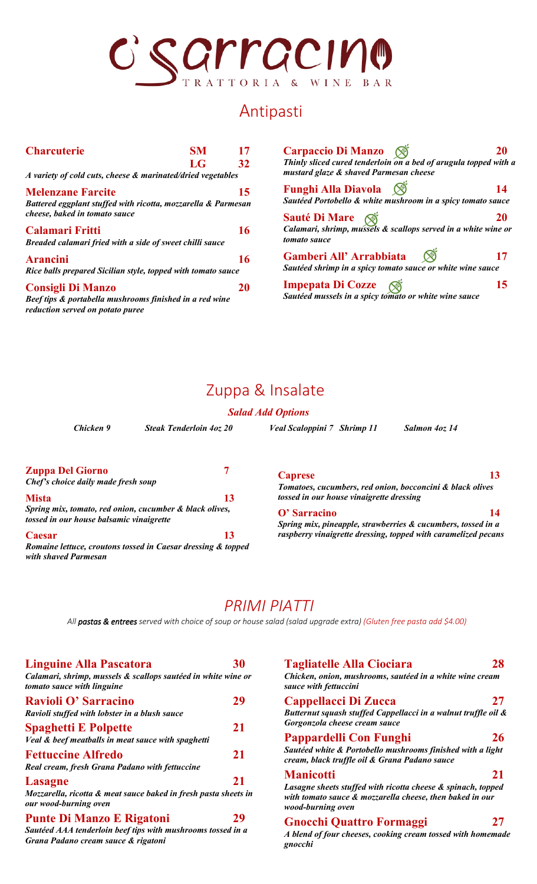# SCILL COND

### Antipasti

| <b>Charcuterie</b>                                                                                                      | <b>SM</b> | 17 |
|-------------------------------------------------------------------------------------------------------------------------|-----------|----|
|                                                                                                                         | LG        | 32 |
| A variety of cold cuts, cheese & marinated/dried vegetables                                                             |           |    |
| <b>Melenzane Farcite</b>                                                                                                |           | 15 |
| Battered eggplant stuffed with ricotta, mozzarella & Parmesan<br>cheese, baked in tomato sauce                          |           |    |
| <b>Calamari Fritti</b><br>Breaded calamari fried with a side of sweet chilli sauce                                      |           | 16 |
| <b>Arancini</b><br>Rice balls prepared Sicilian style, topped with tomato sauce                                         |           | 16 |
| <b>Consigli Di Manzo</b><br>Beef tips & portabella mushrooms finished in a red wine<br>reduction served on potato puree |           | ΖU |

| Carpaccio Di Manzo (⊗                                                                                      |    |
|------------------------------------------------------------------------------------------------------------|----|
| Thinly sliced cured tenderloin on a bed of arugula topped with a<br>mustard glaze & shaved Parmesan cheese |    |
| Funghi Alla Diavola (S)                                                                                    | 14 |
| Sautéed Portobello & white mushroom in a spicy tomato sauce                                                |    |
| <b>Sauté Di Mare</b> ( $\otimes$                                                                           | 20 |
| Calamari, shrimp, mussels & scallops served in a white wine or<br>tomato sauce                             |    |
| Gamberi All' Arrabbiata (S)                                                                                | 17 |
| Sautéed shrimp in a spicy tomato sauce or white wine sauce                                                 |    |
| <b>Impepata Di Cozze</b>                                                                                   | 15 |
| Sautéed mussels in a spicy tomato or white wine sauce                                                      |    |

### Zuppa & Insalate

### *Salad Add Options*

| Chicken 9                                                 | <b>Steak Tenderloin 40z 20</b> | Veal Scaloppini 7 Shrimp 11 | Salmon 4oz 14                                                                                         |  |
|-----------------------------------------------------------|--------------------------------|-----------------------------|-------------------------------------------------------------------------------------------------------|--|
| <b>Zuppa Del Giorno</b>                                   |                                | <b>Caprese</b>              | 13                                                                                                    |  |
| Chef's choice daily made fresh soup<br><b>Mista</b><br>13 |                                |                             | Tomatoes, cucumbers, red onion, bocconcini & black olives<br>tossed in our house vinaigrette dressing |  |
| Spring mix, tomato, red onion, cucumber & black olives,   |                                | $\Omega$ , Carracino        |                                                                                                       |  |

*tossed in our house balsamic vinaigrette* **Caesar 13**

*Romaine lettuce, croutons tossed in Caesar dressing & topped with shaved Parmesan* 

### **O' Sarracino 14**

*Spring mix, pineapple, strawberries & cucumbers, tossed in a raspberry vinaigrette dressing, topped with caramelized pecans*

*PRIMI PIATTI All pastas & entrees served with choice of soup or house salad (salad upgrade extra) (Gluten free pasta add \$4.00)* 

| <b>Linguine Alla Pascatora</b>                                                              | 30 |
|---------------------------------------------------------------------------------------------|----|
| Calamari, shrimp, mussels & scallops sautéed in white wine or<br>tomato sauce with linguine |    |
| Ravioli O' Sarracino<br>Ravioli stuffed with lobster in a blush sauce                       | 29 |
| <b>Spaghetti E Polpette</b><br>Veal & beef meatballs in meat sauce with spaghetti           | 21 |
| <b>Fettuccine Alfredo</b><br>Real cream, fresh Grana Padano with fettuccine                 | 21 |
| <b>Lasagne</b>                                                                              | 21 |
| Mozzarella, ricotta & meat sauce baked in fresh pasta sheets in<br>our wood-burning oven    |    |
| <b>Punte Di Manzo E Rigatoni</b>                                                            | 29 |
| Sautood AAA tonderloin heef tins with mushrooms tossed in a                                 |    |

*Sautéed AAA tenderloin beef tips with mushrooms tossed in a Grana Padano cream sauce & rigatoni*

**Tagliatelle Alla Ciociara 28** *Chicken, onion, mushrooms, sautéed in a white wine cream sauce with fettuccini*  **Cappellacci Di Zucca 27** *Butternut squash stuffed Cappellacci in a walnut truffle oil & Gorgonzola cheese cream sauce* **Pappardelli Con Funghi 26** *Sautéed white & Portobello mushrooms finished with a light cream, black truffle oil & Grana Padano sauce* **Manicotti 21** *Lasagne sheets stuffed with ricotta cheese & spinach, topped with tomato sauce & mozzarella cheese, then baked in our wood-burning oven* **Gnocchi Quattro Formaggi 27**

### *A blend of four cheeses, cooking cream tossed with homemade gnocchi*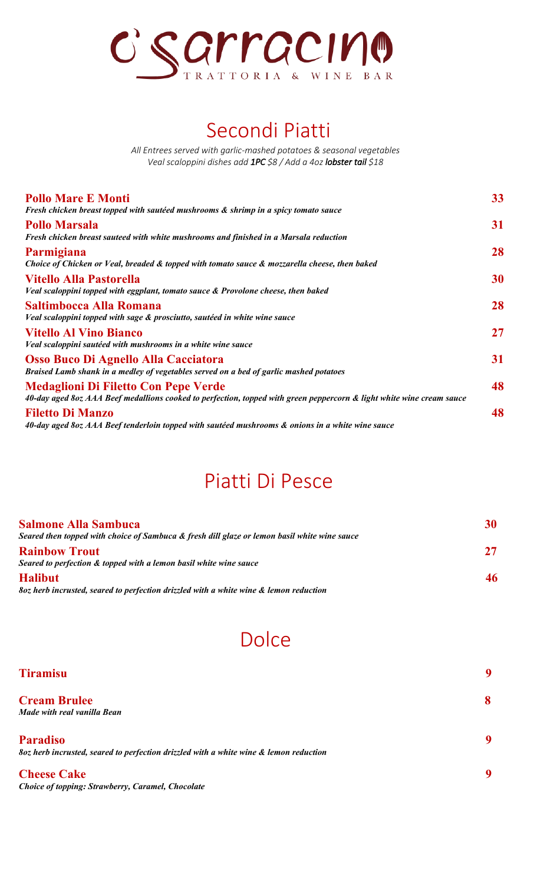

# Secondi Piatti

*All Entrees served with garlic-mashed potatoes & seasonal vegetables Veal scaloppini dishes add 1PC \$8 / Add a 4oz lobster tail \$18*

| <b>Pollo Mare E Monti</b>                                                                                             | 33 |
|-----------------------------------------------------------------------------------------------------------------------|----|
| Fresh chicken breast topped with sautéed mushrooms & shrimp in a spicy tomato sauce                                   |    |
| <b>Pollo Marsala</b>                                                                                                  | 31 |
| Fresh chicken breast sauteed with white mushrooms and finished in a Marsala reduction                                 |    |
| Parmigiana                                                                                                            | 28 |
| Choice of Chicken or Veal, breaded & topped with tomato sauce & mozzarella cheese, then baked                         |    |
| <b>Vitello Alla Pastorella</b>                                                                                        | 30 |
| Veal scaloppini topped with eggplant, tomato sauce & Provolone cheese, then baked                                     |    |
| Saltimbocca Alla Romana                                                                                               | 28 |
| Veal scaloppini topped with sage & prosciutto, sautéed in white wine sauce                                            |    |
| <b>Vitello Al Vino Bianco</b>                                                                                         | 27 |
| Veal scaloppini sautéed with mushrooms in a white wine sauce                                                          |    |
| Osso Buco Di Agnello Alla Cacciatora                                                                                  | 31 |
| Braised Lamb shank in a medley of vegetables served on a bed of garlic mashed potatoes                                |    |
| <b>Medaglioni Di Filetto Con Pepe Verde</b>                                                                           | 48 |
| 40-day aged 8oz AAA Beef medallions cooked to perfection, topped with green peppercorn & light white wine cream sauce |    |
| <b>Filetto Di Manzo</b>                                                                                               | 48 |
| 40-day aged 8oz AAA Beef tenderloin topped with sautéed mushrooms & onions in a white wine sauce                      |    |
|                                                                                                                       |    |

## Piatti Di Pesce

| <b>Salmone Alla Sambuca</b>                                                                  | 30 |
|----------------------------------------------------------------------------------------------|----|
| Seared then topped with choice of Sambuca & fresh dill glaze or lemon basil white wine sauce |    |
| <b>Rainbow Trout</b>                                                                         | 27 |
| Seared to perfection & topped with a lemon basil white wine sauce                            |    |
| <b>Halibut</b>                                                                               | 46 |
| 80z herb incrusted, seared to perfection drizzled with a white wine & lemon reduction        |    |

# **Dolce**

| <b>Tiramisu</b>                                                                       | 9 |
|---------------------------------------------------------------------------------------|---|
| <b>Cream Brulee</b>                                                                   | 8 |
| Made with real vanilla Bean                                                           |   |
| <b>Paradiso</b>                                                                       | 9 |
| 80z herb incrusted, seared to perfection drizzled with a white wine & lemon reduction |   |
| <b>Cheese Cake</b>                                                                    | 9 |
| Choice of topping: Strawberry, Caramel, Chocolate                                     |   |